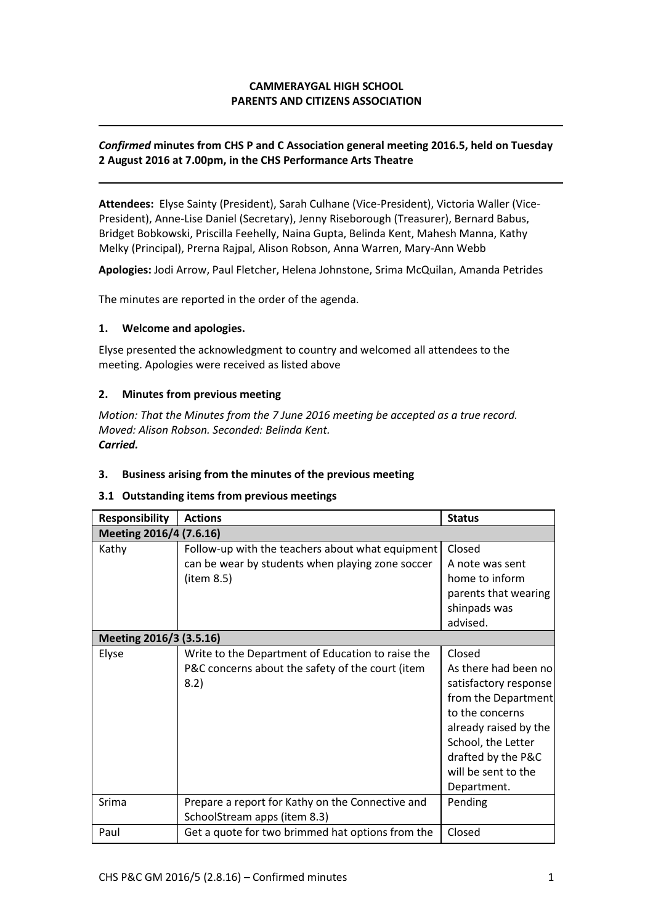# **CAMMERAYGAL HIGH SCHOOL PARENTS AND CITIZENS ASSOCIATION**

## *Confirmed* **minutes from CHS P and C Association general meeting 2016.5, held on Tuesday 2 August 2016 at 7.00pm, in the CHS Performance Arts Theatre**

**Attendees:** Elyse Sainty (President), Sarah Culhane (Vice-President), Victoria Waller (Vice-President), Anne-Lise Daniel (Secretary), Jenny Riseborough (Treasurer), Bernard Babus, Bridget Bobkowski, Priscilla Feehelly, Naina Gupta, Belinda Kent, Mahesh Manna, Kathy Melky (Principal), Prerna Rajpal, Alison Robson, Anna Warren, Mary-Ann Webb

**Apologies:** Jodi Arrow, Paul Fletcher, Helena Johnstone, Srima McQuilan, Amanda Petrides

The minutes are reported in the order of the agenda.

## **1. Welcome and apologies.**

Elyse presented the acknowledgment to country and welcomed all attendees to the meeting. Apologies were received as listed above

## **2. Minutes from previous meeting**

*Motion: That the Minutes from the 7 June 2016 meeting be accepted as a true record. Moved: Alison Robson. Seconded: Belinda Kent. Carried.*

#### **3. Business arising from the minutes of the previous meeting**

#### **3.1 Outstanding items from previous meetings**

| <b>Responsibility</b>   | <b>Actions</b>                                    | <b>Status</b>         |  |
|-------------------------|---------------------------------------------------|-----------------------|--|
| Meeting 2016/4 (7.6.16) |                                                   |                       |  |
| Kathy                   | Follow-up with the teachers about what equipment  | Closed                |  |
|                         | can be wear by students when playing zone soccer  | A note was sent       |  |
|                         | (item 8.5)                                        | home to inform        |  |
|                         |                                                   | parents that wearing  |  |
|                         |                                                   | shinpads was          |  |
|                         |                                                   | advised.              |  |
| Meeting 2016/3 (3.5.16) |                                                   |                       |  |
| Elyse                   | Write to the Department of Education to raise the | Closed                |  |
|                         | P&C concerns about the safety of the court (item  | As there had been no  |  |
|                         | 8.2)                                              | satisfactory response |  |
|                         |                                                   | from the Department   |  |
|                         |                                                   | to the concerns       |  |
|                         |                                                   | already raised by the |  |
|                         |                                                   | School, the Letter    |  |
|                         |                                                   | drafted by the P&C    |  |
|                         |                                                   | will be sent to the   |  |
|                         |                                                   | Department.           |  |
| Srima                   | Prepare a report for Kathy on the Connective and  | Pending               |  |
|                         | SchoolStream apps (item 8.3)                      |                       |  |
| Paul                    | Get a quote for two brimmed hat options from the  | Closed                |  |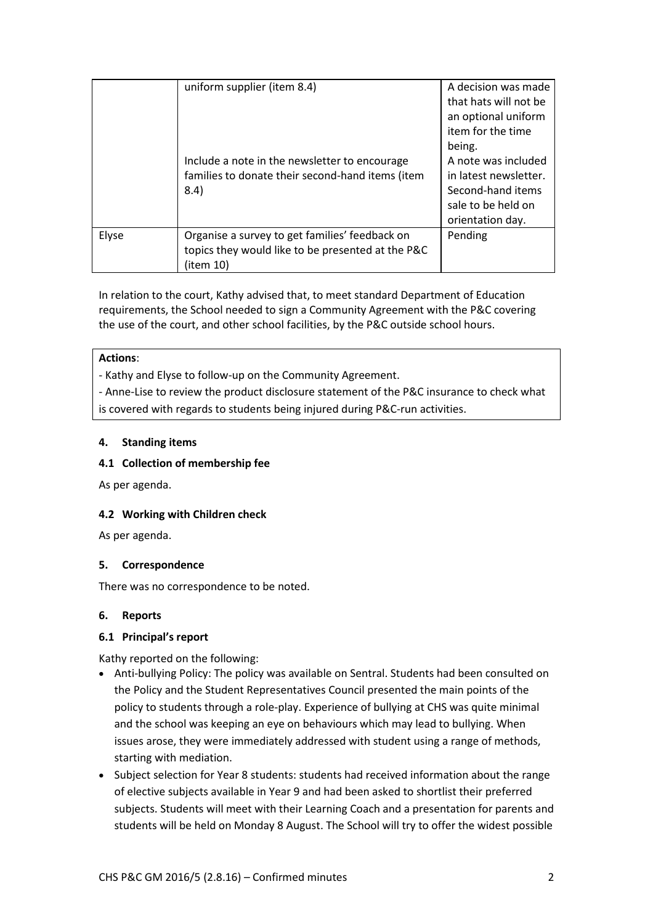|       | uniform supplier (item 8.4)<br>Include a note in the newsletter to encourage<br>families to donate their second-hand items (item<br>8.4) | A decision was made<br>that hats will not be<br>an optional uniform<br>item for the time<br>being.<br>A note was included<br>in latest newsletter.<br>Second-hand items<br>sale to be held on<br>orientation day. |
|-------|------------------------------------------------------------------------------------------------------------------------------------------|-------------------------------------------------------------------------------------------------------------------------------------------------------------------------------------------------------------------|
| Elyse | Organise a survey to get families' feedback on<br>topics they would like to be presented at the P&C<br>(item 10)                         | Pending                                                                                                                                                                                                           |

In relation to the court, Kathy advised that, to meet standard Department of Education requirements, the School needed to sign a Community Agreement with the P&C covering the use of the court, and other school facilities, by the P&C outside school hours.

## **Actions**:

- Kathy and Elyse to follow-up on the Community Agreement.

- Anne-Lise to review the product disclosure statement of the P&C insurance to check what is covered with regards to students being injured during P&C-run activities.

# **4. Standing items**

## **4.1 Collection of membership fee**

As per agenda.

# **4.2 Working with Children check**

As per agenda.

# **5. Correspondence**

There was no correspondence to be noted.

## **6. Reports**

# **6.1 Principal's report**

Kathy reported on the following:

- Anti-bullying Policy: The policy was available on Sentral. Students had been consulted on the Policy and the Student Representatives Council presented the main points of the policy to students through a role-play. Experience of bullying at CHS was quite minimal and the school was keeping an eye on behaviours which may lead to bullying. When issues arose, they were immediately addressed with student using a range of methods, starting with mediation.
- Subject selection for Year 8 students: students had received information about the range of elective subjects available in Year 9 and had been asked to shortlist their preferred subjects. Students will meet with their Learning Coach and a presentation for parents and students will be held on Monday 8 August. The School will try to offer the widest possible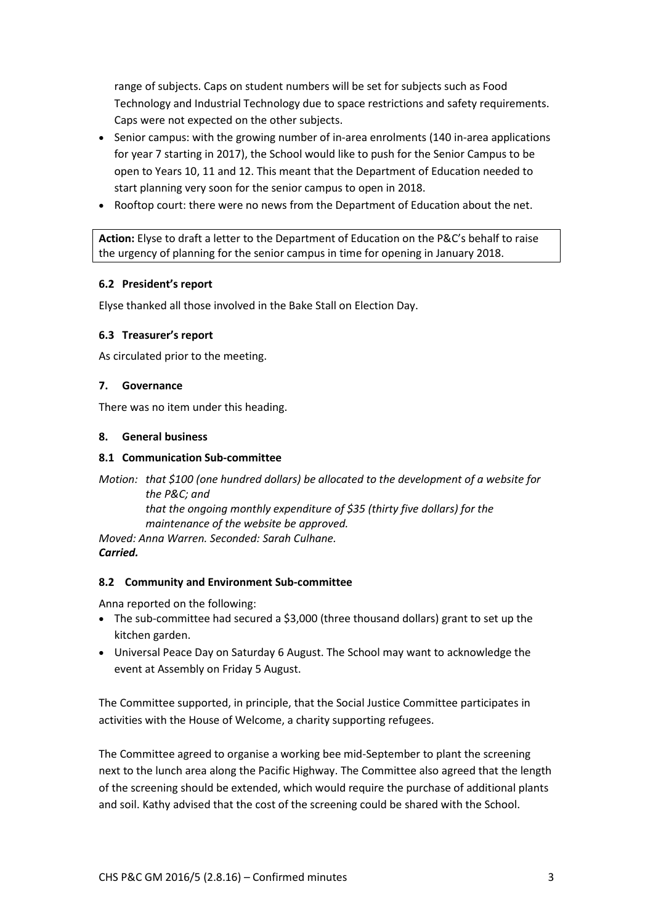range of subjects. Caps on student numbers will be set for subjects such as Food Technology and Industrial Technology due to space restrictions and safety requirements. Caps were not expected on the other subjects.

- Senior campus: with the growing number of in-area enrolments (140 in-area applications for year 7 starting in 2017), the School would like to push for the Senior Campus to be open to Years 10, 11 and 12. This meant that the Department of Education needed to start planning very soon for the senior campus to open in 2018.
- Rooftop court: there were no news from the Department of Education about the net.

**Action:** Elyse to draft a letter to the Department of Education on the P&C's behalf to raise the urgency of planning for the senior campus in time for opening in January 2018.

## **6.2 President's report**

Elyse thanked all those involved in the Bake Stall on Election Day.

## **6.3 Treasurer's report**

As circulated prior to the meeting.

## **7. Governance**

There was no item under this heading.

## **8. General business**

## **8.1 Communication Sub-committee**

*Motion: that \$100 (one hundred dollars) be allocated to the development of a website for the P&C; and that the ongoing monthly expenditure of \$35 (thirty five dollars) for the maintenance of the website be approved.*

*Moved: Anna Warren. Seconded: Sarah Culhane. Carried.*

## **8.2 Community and Environment Sub-committee**

Anna reported on the following:

- The sub-committee had secured a \$3,000 (three thousand dollars) grant to set up the kitchen garden.
- Universal Peace Day on Saturday 6 August. The School may want to acknowledge the event at Assembly on Friday 5 August.

The Committee supported, in principle, that the Social Justice Committee participates in activities with the House of Welcome, a charity supporting refugees.

The Committee agreed to organise a working bee mid-September to plant the screening next to the lunch area along the Pacific Highway. The Committee also agreed that the length of the screening should be extended, which would require the purchase of additional plants and soil. Kathy advised that the cost of the screening could be shared with the School.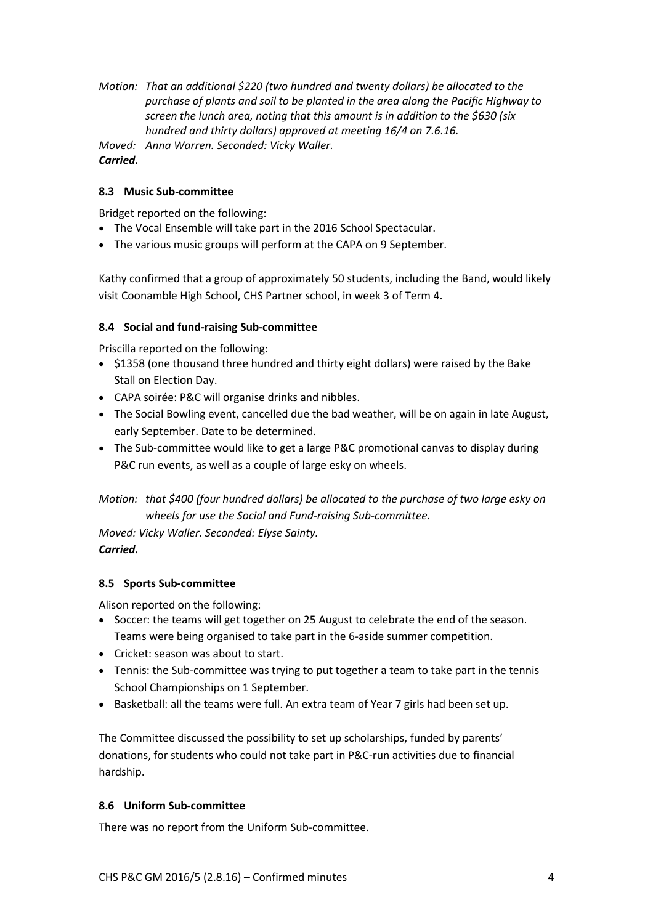*Motion: That an additional \$220 (two hundred and twenty dollars) be allocated to the purchase of plants and soil to be planted in the area along the Pacific Highway to screen the lunch area, noting that this amount is in addition to the \$630 (six hundred and thirty dollars) approved at meeting 16/4 on 7.6.16.*

*Moved: Anna Warren. Seconded: Vicky Waller. Carried.*

# **8.3 Music Sub-committee**

Bridget reported on the following:

- The Vocal Ensemble will take part in the 2016 School Spectacular.
- The various music groups will perform at the CAPA on 9 September.

Kathy confirmed that a group of approximately 50 students, including the Band, would likely visit Coonamble High School, CHS Partner school, in week 3 of Term 4.

## **8.4 Social and fund-raising Sub-committee**

Priscilla reported on the following:

- \$1358 (one thousand three hundred and thirty eight dollars) were raised by the Bake Stall on Election Day.
- CAPA soirée: P&C will organise drinks and nibbles.
- The Social Bowling event, cancelled due the bad weather, will be on again in late August, early September. Date to be determined.
- The Sub-committee would like to get a large P&C promotional canvas to display during P&C run events, as well as a couple of large esky on wheels.

*Motion: that \$400 (four hundred dollars) be allocated to the purchase of two large esky on wheels for use the Social and Fund-raising Sub-committee.* 

*Moved: Vicky Waller. Seconded: Elyse Sainty. Carried.*

# **8.5 Sports Sub-committee**

Alison reported on the following:

- Soccer: the teams will get together on 25 August to celebrate the end of the season. Teams were being organised to take part in the 6-aside summer competition.
- Cricket: season was about to start.
- Tennis: the Sub-committee was trying to put together a team to take part in the tennis School Championships on 1 September.
- Basketball: all the teams were full. An extra team of Year 7 girls had been set up.

The Committee discussed the possibility to set up scholarships, funded by parents' donations, for students who could not take part in P&C-run activities due to financial hardship.

## **8.6 Uniform Sub-committee**

There was no report from the Uniform Sub-committee.